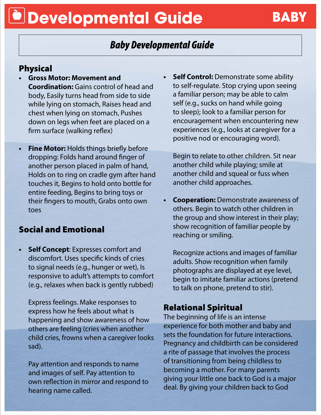## **Developmental Guide BABY**

### *Baby Developmental Guide*

#### Physical

- **• Gross Motor: Movement and Coordination:** Gains control of head and body, Easily turns head from side to side while lying on stomach, Raises head and chest when lying on stomach, Pushes down on legs when feet are placed on a firm surface (walking reflex)
- **• Fine Motor:** Holds things briefly before dropping: Folds hand around finger of another person placed in palm of hand, Holds on to ring on cradle gym after hand touches it, Begins to hold onto bottle for entire feeding, Begins to bring toys or their fingers to mouth, Grabs onto own toes

### Social and Emotional

**• Self Concept**: Expresses comfort and discomfort. Uses specific kinds of cries to signal needs (e.g., hunger or wet), Is responsive to adult's attempts to comfort (e.g., relaxes when back is gently rubbed)

Express feelings. Make responses to express how he feels about what is happening and show awareness of how others are feeling (cries when another child cries, frowns when a caregiver looks sad).

Pay attention and responds to name and images of self. Pay attention to own reflection in mirror and respond to hearing name called.

**• Self Control:** Demonstrate some ability to self-regulate. Stop crying upon seeing a familiar person; may be able to calm self (e.g., sucks on hand while going to sleep); look to a familiar person for encouragement when encountering new experiences (e.g., looks at caregiver for a positive nod or encouraging word).

Begin to relate to other children. Sit near another child while playing; smile at another child and squeal or fuss when another child approaches.

**Cooperation:** Demonstrate awareness of others. Begin to watch other children in the group and show interest in their play; show recognition of familiar people by reaching or smiling.

Recognize actions and images of familiar adults. Show recognition when family photographs are displayed at eye level, begin to imitate familiar actions (pretend to talk on phone, pretend to stir).

#### Relational Spiritual

The beginning of life is an intense experience for both mother and baby and sets the foundation for future interactions. Pregnancy and childbirth can be considered a rite of passage that involves the process of transitioning from being childless to becoming a mother. For many parents giving your little one back to God is a major deal. By giving your children back to God